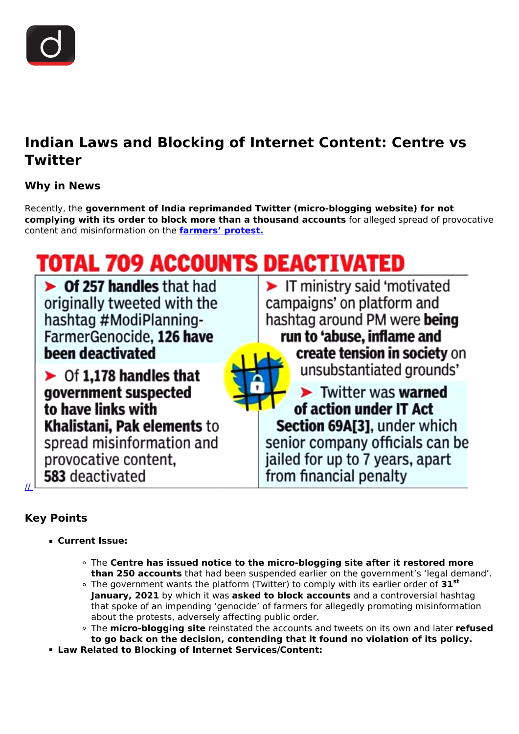

## **Indian Laws and Blocking of Internet Content: Centre vs Twitter**

### **Why in News**

Recently, the **government of India reprimanded Twitter (micro-blogging website) for not complying with its order to block more than a thousand accounts** for alleged spread of provocative content and misinformation on the **[farmers' protest.](/daily-updates/daily-news-editorials/farmer-s-protest)**

# **TOTAL 709 ACCOUNTS DEACTIVATED**

 $\triangleright$  Of 257 handles that had originally tweeted with the hashtag #ModiPlanning-FarmerGenocide, 126 have been deactivated

 $\triangleright$  Of 1,178 handles that government suspected to have links with Khalistani, Pak elements to spread misinformation and provocative content, 583 deactivated

T ministry said 'motivated campaigns' on platform and hashtag around PM were being run to 'abuse, inflame and create tension in society on unsubstantiated grounds'



 $\blacktriangleright$  Twitter was warned of action under IT Act Section 69A[3], under which senior company officials can be jailed for up to 7 years, apart from financial penalty

## **Key Points**

[//](https://www.drishtiias.com/images/uploads/1613112112_image1.png) 

- **Current Issue:**
	- The **Centre has issued notice to the micro-blogging site after it restored more than 250 accounts** that had been suspended earlier on the government's 'legal demand'.
	- The government wants the platform (Twitter) to comply with its earlier order of **31st January, 2021** by which it was **asked to block accounts** and a controversial hashtag that spoke of an impending 'genocide' of farmers for allegedly promoting misinformation about the protests, adversely affecting public order.
	- The **micro-blogging site** reinstated the accounts and tweets on its own and later **refused to go back on the decision, contending that it found no violation of its policy.**
- **Law Related to Blocking of Internet Services/Content:**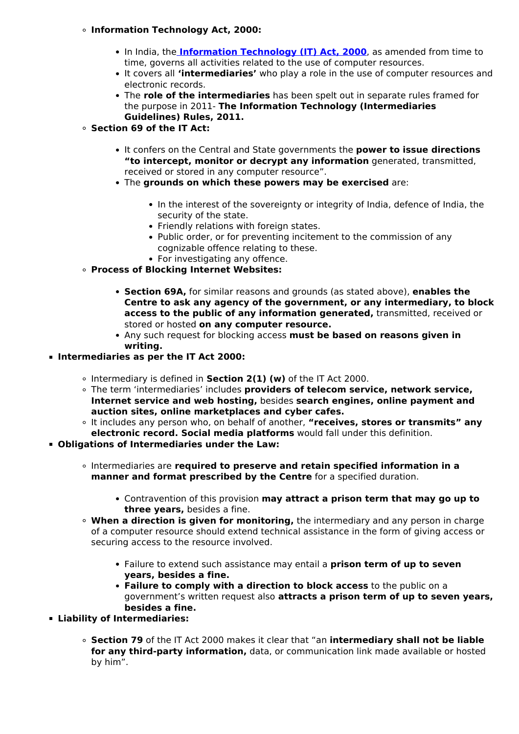#### **Information Technology Act, 2000:**

- In India, the **Information Technology (IT) Act, 2000**, as amended from time to time, governs all activities related to the use of computer resources.
- It covers all **'intermediaries'** who play a role in the use of computer resources and electronic records.
- The **role of the intermediaries** has been spelt out in separate rules framed for the purpose in 2011- **The Information Technology (Intermediaries Guidelines) Rules, 2011.**
- **Section 69 of the IT Act:**
	- It confers on the Central and State governments the **power to issue directions "to intercept, monitor or decrypt any information** generated, transmitted, received or stored in any computer resource".
	- The **grounds on which these powers may be exercised** are:
		- In the interest of the sovereignty or integrity of India, defence of India, the security of the state.
		- Friendly relations with foreign states.
		- Public order, or for preventing incitement to the commission of any cognizable offence relating to these.
	- For investigating any offence.
- **Process of Blocking Internet Websites:**
	- **Section 69A,** for similar reasons and grounds (as stated above), **enables the Centre to ask any agency of the government, or any intermediary, to block access to the public of any information generated,** transmitted, received or stored or hosted **on any computer resource.**
	- Any such request for blocking access **must be based on reasons given in writing.**
- **Intermediaries as per the IT Act 2000:**
	- Intermediary is defined in **Section 2(1) (w)** of the IT Act 2000.
	- The term 'intermediaries' includes **providers of telecom service, network service, Internet service and web hosting,** besides **search engines, online payment and auction sites, online marketplaces and cyber cafes.**
	- It includes any person who, on behalf of another, **"receives, stores or transmits" any electronic record. Social media platforms** would fall under this definition.
- **Obligations of Intermediaries under the Law:**
	- Intermediaries are **required to preserve and retain specified information in a manner and format prescribed by the Centre** for a specified duration.
		- Contravention of this provision **may attract a prison term that may go up to three years,** besides a fine.
	- **When a direction is given for monitoring,** the intermediary and any person in charge of a computer resource should extend technical assistance in the form of giving access or securing access to the resource involved.
		- Failure to extend such assistance may entail a **prison term of up to seven years, besides a fine.**
		- **Failure to comply with a direction to block access** to the public on a government's written request also **attracts a prison term of up to seven years, besides a fine.**
- **Liability of Intermediaries:**
	- **Section 79** of the IT Act 2000 makes it clear that "an **intermediary shall not be liable for any third-party information,** data, or communication link made available or hosted by him".